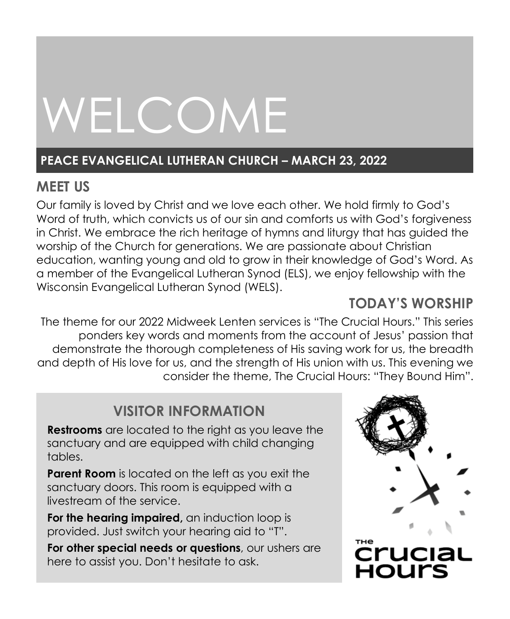# WELCOME

# **PEACE EVANGELICAL LUTHERAN CHURCH – MARCH 23, 2022**

# **MEET US**

Our family is loved by Christ and we love each other. We hold firmly to God's Word of truth, which convicts us of our sin and comforts us with God's forgiveness in Christ. We embrace the rich heritage of hymns and liturgy that has guided the worship of the Church for generations. We are passionate about Christian education, wanting young and old to grow in their knowledge of God's Word. As a member of the Evangelical Lutheran Synod (ELS), we enjoy fellowship with the Wisconsin Evangelical Lutheran Synod (WELS).

# **TODAY'S WORSHIP**

The theme for our 2022 Midweek Lenten services is "The Crucial Hours." This series ponders key words and moments from the account of Jesus' passion that demonstrate the thorough completeness of His saving work for us, the breadth and depth of His love for us, and the strength of His union with us. This evening we consider the theme, The Crucial Hours: "They Bound Him".

# **VISITOR INFORMATION**

**Restrooms** are located to the right as you leave the sanctuary and are equipped with child changing tables.

**Parent Room** is located on the left as you exit the sanctuary doors. This room is equipped with a livestream of the service.

**For the hearing impaired,** an induction loop is provided. Just switch your hearing aid to "T".

**For other special needs or questions**, our ushers are here to assist you. Don't hesitate to ask.

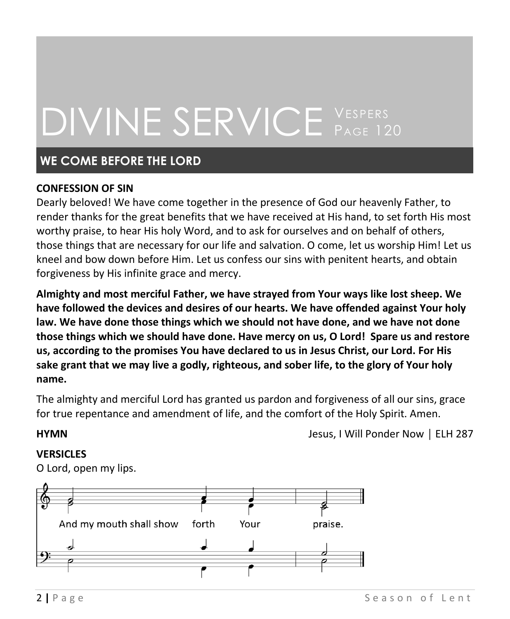# DIVINE SERVICE VESPERS PAGE 120

# **WE COME BEFORE THE LORD**

# **CONFESSION OF SIN**

Dearly beloved! We have come together in the presence of God our heavenly Father, to render thanks for the great benefits that we have received at His hand, to set forth His most worthy praise, to hear His holy Word, and to ask for ourselves and on behalf of others, those things that are necessary for our life and salvation. O come, let us worship Him! Let us kneel and bow down before Him. Let us confess our sins with penitent hearts, and obtain forgiveness by His infinite grace and mercy.

**Almighty and most merciful Father, we have strayed from Your ways like lost sheep. We have followed the devices and desires of our hearts. We have offended against Your holy law. We have done those things which we should not have done, and we have not done those things which we should have done. Have mercy on us, O Lord! Spare us and restore us, according to the promises You have declared to us in Jesus Christ, our Lord. For His sake grant that we may live a godly, righteous, and sober life, to the glory of Your holy name.**

The almighty and merciful Lord has granted us pardon and forgiveness of all our sins, grace for true repentance and amendment of life, and the comfort of the Holy Spirit. Amen.

**HYMN HYMN Desus, I Will Ponder Now │ ELH 287** 

# **VERSICLES**

O Lord, open my lips.

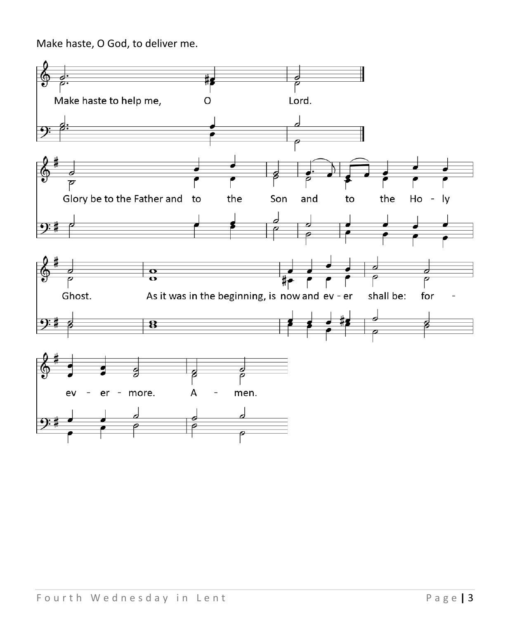Make haste, O God, to deliver me.

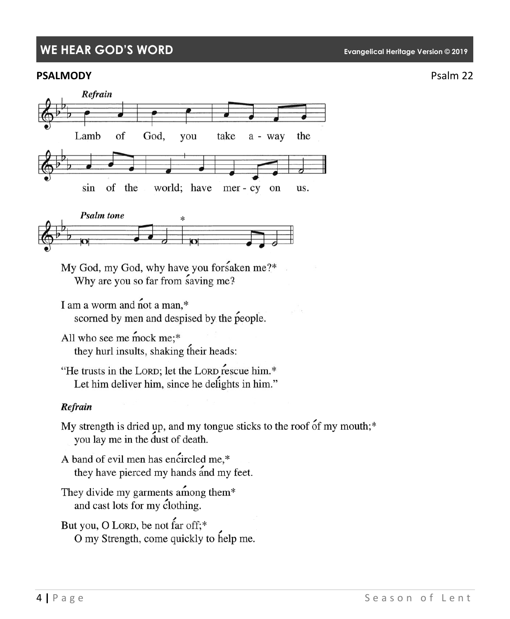# **WE HEAR GOD'S WORD Evangelical Heritage Version © 2019**

### **PSALMODY** PSALMODY





My God, my God, why have you forsaken me?\* Why are you so far from saving me?

I am a worm and not a man,\* scorned by men and despised by the people.

All who see me mock me:\* they hurl insults, shaking their heads:

"He trusts in the LORD; let the LORD rescue him.\* Let him deliver him, since he delights in him."

### Refrain

My strength is dried up, and my tongue sticks to the roof of my mouth;\* you lay me in the dust of death.

A band of evil men has encircled me,\* they have pierced my hands and my feet.

They divide my garments among them\* and cast lots for my clothing.

But you, O LORD, be not far off;\* O my Strength, come quickly to help me.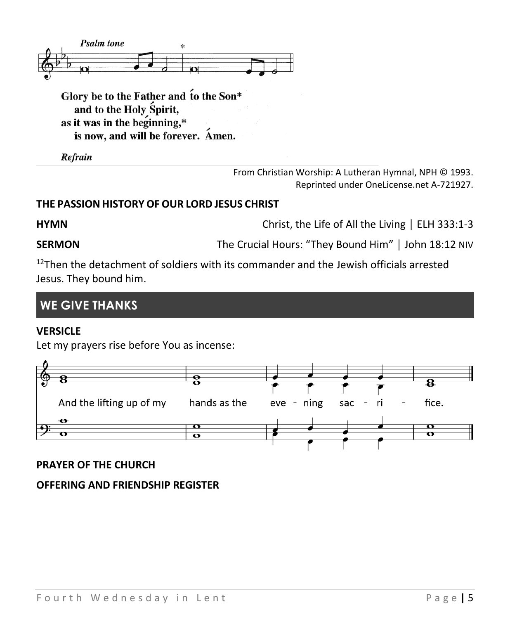

Glory be to the Father and to the Son\* and to the Holy Spirit, as it was in the beginning,\* is now, and will be forever. Amen.

Refrain

From Christian Worship: A Lutheran Hymnal, NPH © 1993. Reprinted under OneLicense.net A-721927.

# **THE PASSION HISTORY OFOUR LORD JESUS CHRIST**

**HYMN EXECUTE:** EXAMPLE **CHANN** Christ, the Life of All the Living │ ELH 333:1-3

**SERMON** The Crucial Hours: "They Bound Him" | John 18:12 NIV

 $12$ Then the detachment of soldiers with its commander and the Jewish officials arrested Jesus. They bound him.

# **WE GIVE THANKS**

### **VERSICLE**

Let my prayers rise before You as incense:



# **PRAYER OF THE CHURCH**

# **OFFERING AND FRIENDSHIP REGISTER**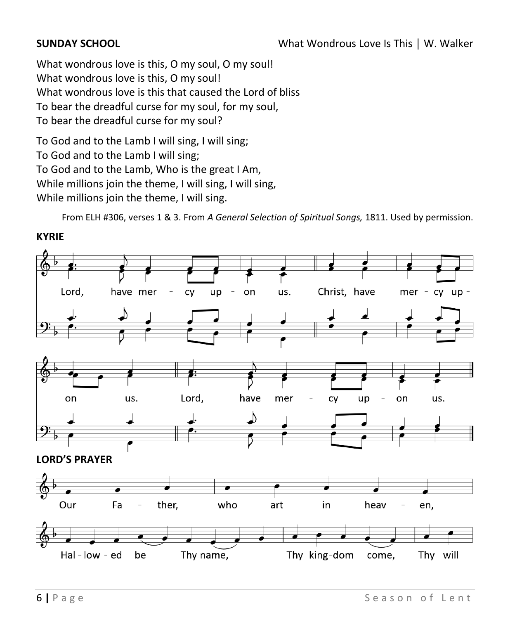What wondrous love is this, O my soul, O my soul! What wondrous love is this, O my soul! What wondrous love is this that caused the Lord of bliss To bear the dreadful curse for my soul, for my soul, To bear the dreadful curse for my soul?

To God and to the Lamb I will sing, I will sing; To God and to the Lamb I will sing; To God and to the Lamb, Who is the great I Am, While millions join the theme, I will sing, I will sing, While millions join the theme, I will sing.

From ELH #306, verses 1 & 3. From *A General Selection of Spiritual Songs,* 1811. Used by permission.

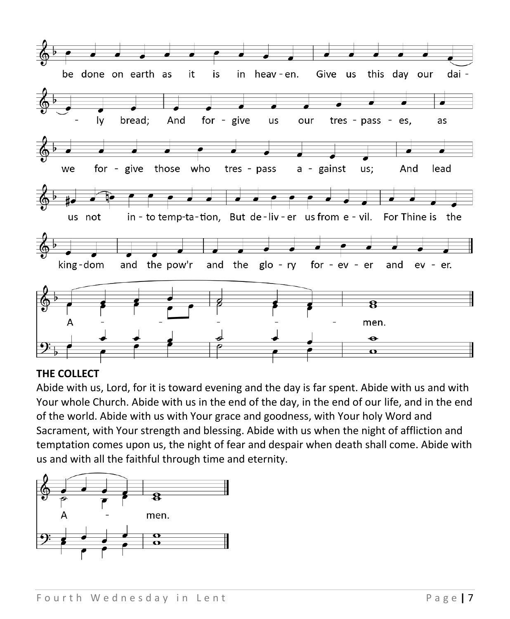

# **THE COLLECT**

Abide with us, Lord, for it is toward evening and the day is far spent. Abide with us and with Your whole Church. Abide with us in the end of the day, in the end of our life, and in the end of the world. Abide with us with Your grace and goodness, with Your holy Word and Sacrament, with Your strength and blessing. Abide with us when the night of affliction and temptation comes upon us, the night of fear and despair when death shall come. Abide with us and with all the faithful through time and eternity.